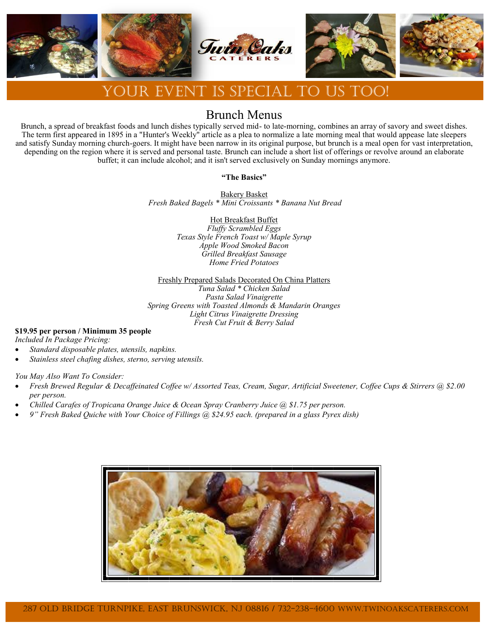

## Your Event is special to us too!

### Brunch Menus

Brunch, a spread of breakfast foods and lunch dishes typically served mid- to late-morning, combines an array of savory and sweet dishes. The term first appeared in 1895 in a "Hunter's Weekly" article as a plea to normalize a late morning meal that would appease late sleepers and satisfy Sunday morning church-goers. It might have been narrow in its original purpose, but brunch is a meal open for vast interpretation, depending on the region where it is served and personal taste. Brunch can include a short list of offerings or revolve around an elaborate buffet; it can include alcohol; and it isn't served exclusively on Sunday mornings anymore.

#### **"The Basics"**

Bakery Basket *Fresh Baked Bagels \* Mini Croissants \* Banana Nut Bread*

> Hot Breakfast Buffet *Fluffy Scrambled Eggs Texas Style French Toast w/ Maple Syrup Apple Wood Smoked Bacon Grilled Breakfast Sausage Home Fried Potatoes*

Freshly Prepared Salads Decorated On China Platters *Tuna Salad \* Chicken Salad Pasta Salad Vinaigrette Spring Greens with Toasted Almonds & Mandarin Oranges Light Citrus Vinaigrette Dressing Fresh Cut Fruit & Berry Salad*

#### **\$19.95 per person / Minimum 35 people**

*Included In Package Pricing:*

- *Standard disposable plates, utensils, napkins.*
- *Stainless steel chafing dishes, sterno, serving utensils.*

*You May Also Want To Consider:*

- *Fresh Brewed Regular & Decaffeinated Coffee w/ Assorted Teas, Cream, Sugar, Artificial Sweetener, Coffee Cups & Stirrers @ \$2.00 per person.*
- *Chilled Carafes of Tropicana Orange Juice & Ocean Spray Cranberry Juice @ \$1.75 per person.*
- *9" Fresh Baked Quiche with Your Choice of Fillings @ \$24.95 each. (prepared in a glass Pyrex dish)*

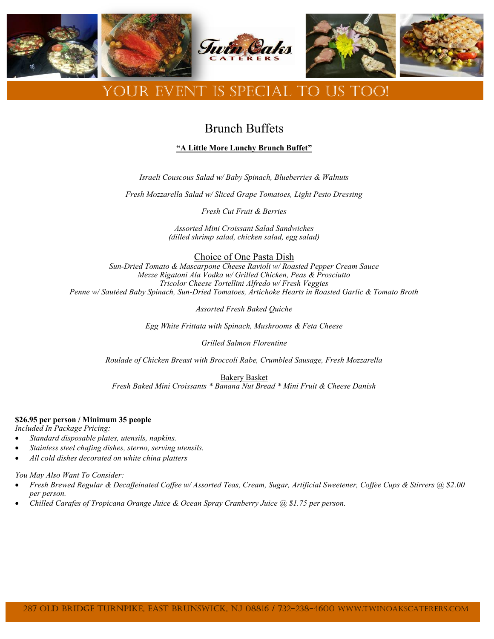

# Your Event is special to us too!

### Brunch Buffets

#### **"A Little More Lunchy Brunch Buffet"**

*Israeli Couscous Salad w/ Baby Spinach, Blueberries & Walnuts*

*Fresh Mozzarella Salad w/ Sliced Grape Tomatoes, Light Pesto Dressing* 

*Fresh Cut Fruit & Berries*

*Assorted Mini Croissant Salad Sandwiches (dilled shrimp salad, chicken salad, egg salad)*

#### Choice of One Pasta Dish

*Sun-Dried Tomato & Mascarpone Cheese Ravioli w/ Roasted Pepper Cream Sauce Mezze Rigatoni Ala Vodka w/ Grilled Chicken, Peas & Prosciutto Tricolor Cheese Tortellini Alfredo w/ Fresh Veggies Penne w/ Sautéed Baby Spinach, Sun-Dried Tomatoes, Artichoke Hearts in Roasted Garlic & Tomato Broth*

*Assorted Fresh Baked Quiche*

*Egg White Frittata with Spinach, Mushrooms & Feta Cheese*

*Grilled Salmon Florentine*

*Roulade of Chicken Breast with Broccoli Rabe, Crumbled Sausage, Fresh Mozzarella* 

Bakery Basket

*Fresh Baked Mini Croissants \* Banana Nut Bread \* Mini Fruit & Cheese Danish*

#### **\$26.95 per person / Minimum 35 people**

*Included In Package Pricing:*

- *Standard disposable plates, utensils, napkins.*
- *Stainless steel chafing dishes, sterno, serving utensils.*
- *All cold dishes decorated on white china platters*

*You May Also Want To Consider:*

- *Fresh Brewed Regular & Decaffeinated Coffee w/ Assorted Teas, Cream, Sugar, Artificial Sweetener, Coffee Cups & Stirrers @ \$2.00 per person.*
- *Chilled Carafes of Tropicana Orange Juice & Ocean Spray Cranberry Juice @ \$1.75 per person.*